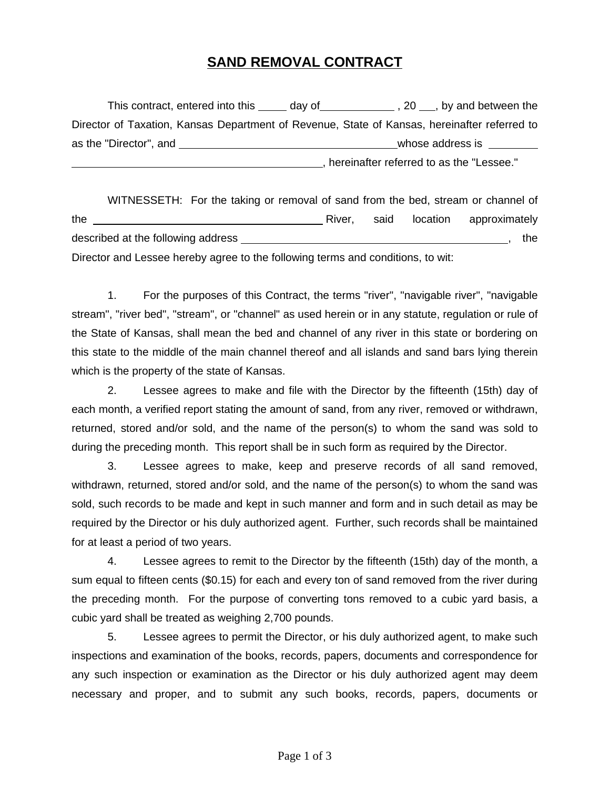## **SAND REMOVAL CONTRACT**

|                        | This contract, entered into this ______ day of | $\frac{1}{2}$ , 20 $\frac{1}{2}$ , by and between the                                        |
|------------------------|------------------------------------------------|----------------------------------------------------------------------------------------------|
|                        |                                                | Director of Taxation, Kansas Department of Revenue, State of Kansas, hereinafter referred to |
| as the "Director", and |                                                | whose address is                                                                             |
|                        |                                                | hereinafter referred to as the "Lessee."                                                     |

WITNESSETH: For the taking or removal of sand from the bed, stream or channel of the **River,** said location approximately described at the following address , the Director and Lessee hereby agree to the following terms and conditions, to wit:

1. For the purposes of this Contract, the terms "river", "navigable river", "navigable stream", "river bed", "stream", or "channel" as used herein or in any statute, regulation or rule of the State of Kansas, shall mean the bed and channel of any river in this state or bordering on this state to the middle of the main channel thereof and all islands and sand bars lying therein which is the property of the state of Kansas.

2. Lessee agrees to make and file with the Director by the fifteenth (15th) day of each month, a verified report stating the amount of sand, from any river, removed or withdrawn, returned, stored and/or sold, and the name of the person(s) to whom the sand was sold to during the preceding month. This report shall be in such form as required by the Director.

3. Lessee agrees to make, keep and preserve records of all sand removed, withdrawn, returned, stored and/or sold, and the name of the person(s) to whom the sand was sold, such records to be made and kept in such manner and form and in such detail as may be required by the Director or his duly authorized agent. Further, such records shall be maintained for at least a period of two years.

4. Lessee agrees to remit to the Director by the fifteenth (15th) day of the month, a sum equal to fifteen cents (\$0.15) for each and every ton of sand removed from the river during the preceding month. For the purpose of converting tons removed to a cubic yard basis, a cubic yard shall be treated as weighing 2,700 pounds.

5. Lessee agrees to permit the Director, or his duly authorized agent, to make such inspections and examination of the books, records, papers, documents and correspondence for any such inspection or examination as the Director or his duly authorized agent may deem necessary and proper, and to submit any such books, records, papers, documents or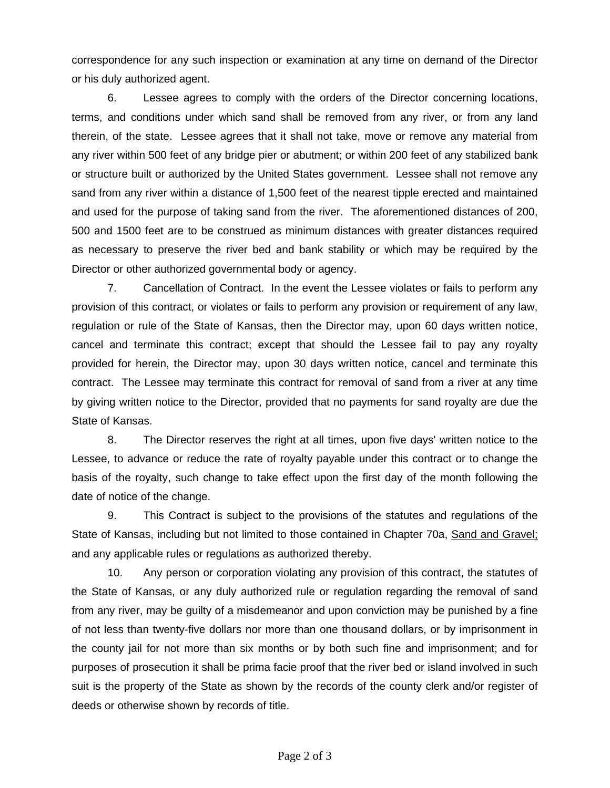correspondence for any such inspection or examination at any time on demand of the Director or his duly authorized agent.

6. Lessee agrees to comply with the orders of the Director concerning locations, terms, and conditions under which sand shall be removed from any river, or from any land therein, of the state. Lessee agrees that it shall not take, move or remove any material from any river within 500 feet of any bridge pier or abutment; or within 200 feet of any stabilized bank or structure built or authorized by the United States government. Lessee shall not remove any sand from any river within a distance of 1,500 feet of the nearest tipple erected and maintained and used for the purpose of taking sand from the river. The aforementioned distances of 200, 500 and 1500 feet are to be construed as minimum distances with greater distances required as necessary to preserve the river bed and bank stability or which may be required by the Director or other authorized governmental body or agency.

7. Cancellation of Contract. In the event the Lessee violates or fails to perform any provision of this contract, or violates or fails to perform any provision or requirement of any law, regulation or rule of the State of Kansas, then the Director may, upon 60 days written notice, cancel and terminate this contract; except that should the Lessee fail to pay any royalty provided for herein, the Director may, upon 30 days written notice, cancel and terminate this contract. The Lessee may terminate this contract for removal of sand from a river at any time by giving written notice to the Director, provided that no payments for sand royalty are due the State of Kansas.

8. The Director reserves the right at all times, upon five days' written notice to the Lessee, to advance or reduce the rate of royalty payable under this contract or to change the basis of the royalty, such change to take effect upon the first day of the month following the date of notice of the change.

9. This Contract is subject to the provisions of the statutes and regulations of the State of Kansas, including but not limited to those contained in Chapter 70a, Sand and Gravel; and any applicable rules or regulations as authorized thereby.

10. Any person or corporation violating any provision of this contract, the statutes of the State of Kansas, or any duly authorized rule or regulation regarding the removal of sand from any river, may be guilty of a misdemeanor and upon conviction may be punished by a fine of not less than twenty-five dollars nor more than one thousand dollars, or by imprisonment in the county jail for not more than six months or by both such fine and imprisonment; and for purposes of prosecution it shall be prima facie proof that the river bed or island involved in such suit is the property of the State as shown by the records of the county clerk and/or register of deeds or otherwise shown by records of title.